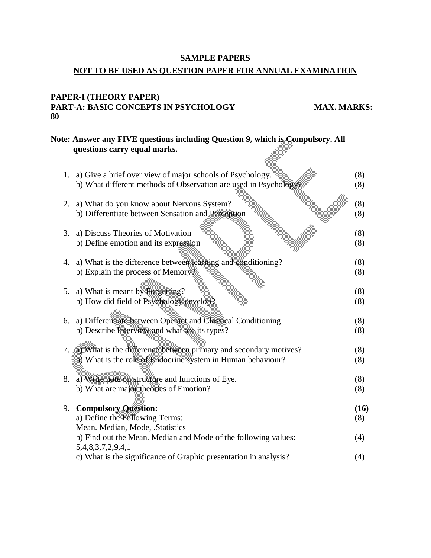## **SAMPLE PAPERS NOT TO BE USED AS QUESTION PAPER FOR ANNUAL EXAMINATION**

#### **PAPER-I (THEORY PAPER) PART-A: BASIC CONCEPTS IN PSYCHOLOGY MAX. MARKS: 80**

# **Note: Answer any FIVE questions including Question 9, which is Compulsory. All questions carry equal marks.**

|    | 1. a) Give a brief over view of major schools of Psychology.                                   | (8)        |
|----|------------------------------------------------------------------------------------------------|------------|
|    | b) What different methods of Observation are used in Psychology?                               | (8)        |
| 2. | a) What do you know about Nervous System?<br>b) Differentiate between Sensation and Perception | (8)<br>(8) |
| 3. | a) Discuss Theories of Motivation<br>b) Define emotion and its expression                      | (8)<br>(8) |
| 4. | a) What is the difference between learning and conditioning?                                   | (8)        |
|    | b) Explain the process of Memory?                                                              | (8)        |
|    |                                                                                                |            |
| 5. | a) What is meant by Forgetting?                                                                | (8)        |
|    | b) How did field of Psychology develop?                                                        | (8)        |
| 6. | a) Differentiate between Operant and Classical Conditioning                                    | (8)        |
|    | b) Describe Interview and what are its types?                                                  | (8)        |
|    |                                                                                                |            |
|    | 7. (a) What is the difference between primary and secondary motives?                           | (8)        |
|    | b) What is the role of Endocrine system in Human behaviour?                                    | (8)        |
| 8. | a) Write note on structure and functions of Eye.                                               | (8)        |
|    | b) What are major theories of Emotion?                                                         | (8)        |
|    |                                                                                                |            |
| 9. | <b>Compulsory Question:</b>                                                                    | (16)       |
|    | a) Define the Following Terms:                                                                 | (8)        |
|    | Mean. Median, Mode, .Statistics                                                                |            |
|    | b) Find out the Mean. Median and Mode of the following values:                                 | (4)        |
|    | 5,4,8,3,7,2,9,4,1                                                                              |            |
|    | c) What is the significance of Graphic presentation in analysis?                               | (4)        |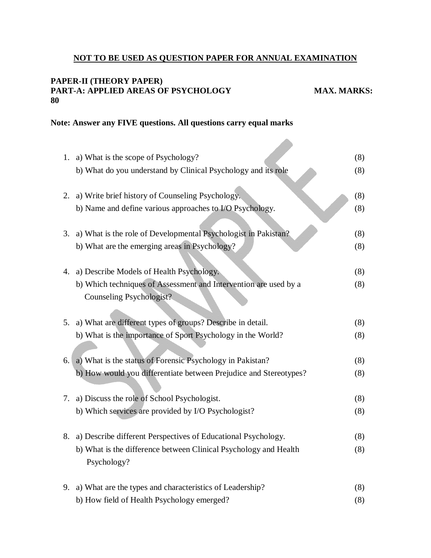### **NOT TO BE USED AS QUESTION PAPER FOR ANNUAL EXAMINATION**

filia)

#### **PAPER-II (THEORY PAPER) PART-A: APPLIED AREAS OF PSYCHOLOGY MAX. MARKS: 80**

#### **Note: Answer any FIVE questions. All questions carry equal marks**

|    | 1. a) What is the scope of Psychology?                                          | (8) |
|----|---------------------------------------------------------------------------------|-----|
|    | b) What do you understand by Clinical Psychology and its role                   | (8) |
|    | 2. a) Write brief history of Counseling Psychology.                             | (8) |
|    | b) Name and define various approaches to I/O Psychology.                        | (8) |
|    | 3. a) What is the role of Developmental Psychologist in Pakistan?               | (8) |
|    | b) What are the emerging areas in Psychology?                                   | (8) |
|    | 4. a) Describe Models of Health Psychology.                                     | (8) |
|    | b) Which techniques of Assessment and Intervention are used by a                | (8) |
|    | <b>Counseling Psychologist?</b>                                                 |     |
|    | 5. a) What are different types of groups? Describe in detail.                   | (8) |
|    | b) What is the importance of Sport Psychology in the World?                     | (8) |
| 6. | a) What is the status of Forensic Psychology in Pakistan?                       | (8) |
|    | b) How would you differentiate between Prejudice and Stereotypes?               | (8) |
| 7. | a) Discuss the role of School Psychologist.                                     | (8) |
|    | b) Which services are provided by I/O Psychologist?                             | (8) |
| 8. | a) Describe different Perspectives of Educational Psychology.                   | (8) |
|    | b) What is the difference between Clinical Psychology and Health<br>Psychology? | (8) |
|    | 9. a) What are the types and characteristics of Leadership?                     | (8) |
|    | b) How field of Health Psychology emerged?                                      | (8) |